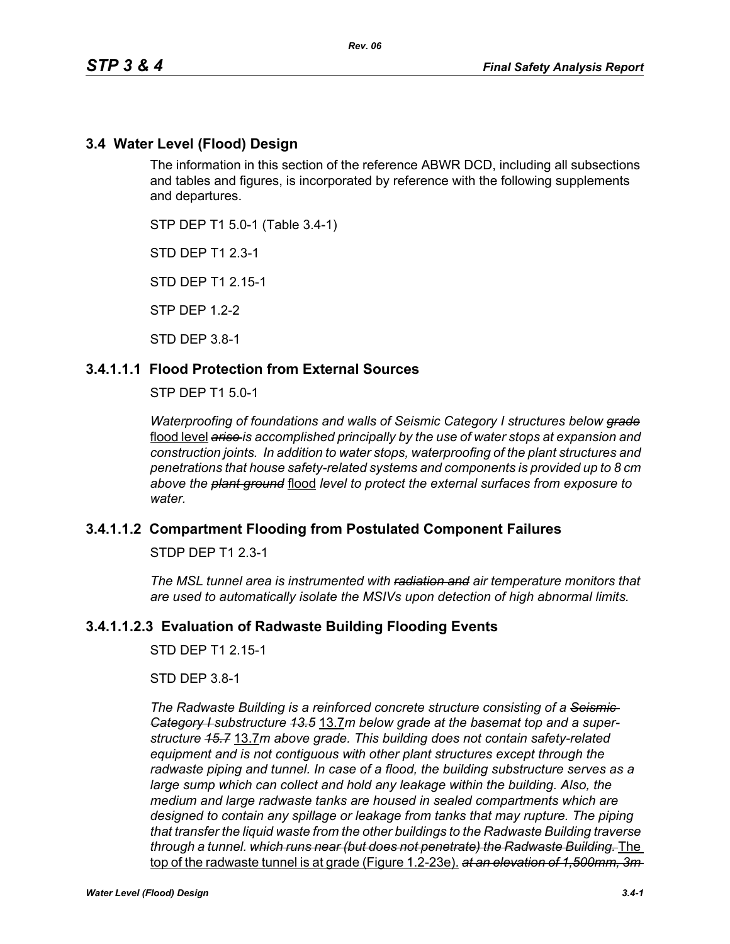## **3.4 Water Level (Flood) Design**

The information in this section of the reference ABWR DCD, including all subsections and tables and figures, is incorporated by reference with the following supplements and departures.

STP DEP T1 5.0-1 (Table 3.4-1)

STD DEP T1 2.3-1

STD DEP T1 2.15-1

STP DEP 1.2-2

STD DEP 3.8-1

## **3.4.1.1.1 Flood Protection from External Sources**

STP DEP T1 5.0-1

*Waterproofing of foundations and walls of Seismic Category I structures below grade* flood level *arise is accomplished principally by the use of water stops at expansion and construction joints. In addition to water stops, waterproofing of the plant structures and penetrations that house safety-related systems and components is provided up to 8 cm above the plant ground* flood *level to protect the external surfaces from exposure to water.*

## **3.4.1.1.2 Compartment Flooding from Postulated Component Failures**

STDP DEP T1 2.3-1

*The MSL tunnel area is instrumented with radiation and air temperature monitors that are used to automatically isolate the MSIVs upon detection of high abnormal limits.*

### **3.4.1.1.2.3 Evaluation of Radwaste Building Flooding Events**

STD DEP T1 2 15-1

STD DEP 3.8-1

*The Radwaste Building is a reinforced concrete structure consisting of a Seismic Category I substructure 13.5* 13.7*m below grade at the basemat top and a superstructure 15.7* 13.7*m above grade. This building does not contain safety-related equipment and is not contiguous with other plant structures except through the radwaste piping and tunnel. In case of a flood, the building substructure serves as a large sump which can collect and hold any leakage within the building. Also, the medium and large radwaste tanks are housed in sealed compartments which are designed to contain any spillage or leakage from tanks that may rupture. The piping that transfer the liquid waste from the other buildings to the Radwaste Building traverse through a tunnel. which runs near (but does not penetrate) the Radwaste Building.* The top of the radwaste tunnel is at grade (Figure 1.2-23e). *at an elevation of 1,500mm, 3m*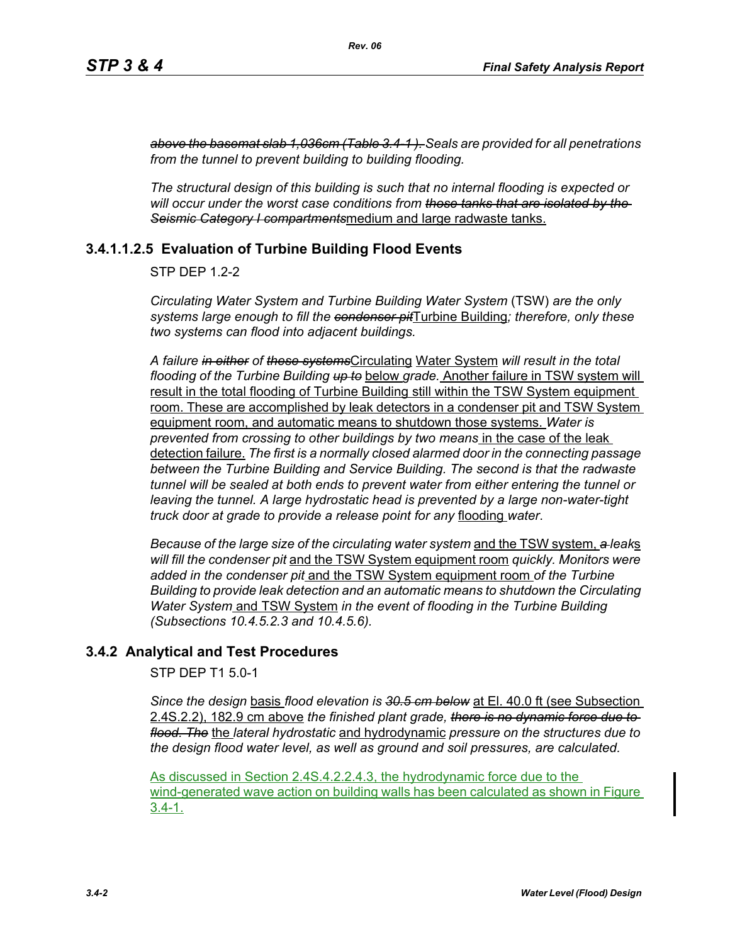*above the basemat slab 1,036cm (Table 3.4-1 ). Seals are provided for all penetrations from the tunnel to prevent building to building flooding.*

*The structural design of this building is such that no internal flooding is expected or will occur under the worst case conditions from those tanks that are isolated by the Seismic Category I compartments*medium and large radwaste tanks.

# **3.4.1.1.2.5 Evaluation of Turbine Building Flood Events**

STP DEP 1.2-2

*Circulating Water System and Turbine Building Water System* (TSW) *are the only systems large enough to fill the condenser pit*Turbine Building*; therefore, only these two systems can flood into adjacent buildings.*

*A failure in either of these systems*Circulating Water System *will result in the total flooding of the Turbine Building up to* below *grade.* Another failure in TSW system will result in the total flooding of Turbine Building still within the TSW System equipment room. These are accomplished by leak detectors in a condenser pit and TSW System equipment room, and automatic means to shutdown those systems. *Water is prevented from crossing to other buildings by two means* in the case of the leak detection failure. *The first is a normally closed alarmed door in the connecting passage between the Turbine Building and Service Building. The second is that the radwaste tunnel will be sealed at both ends to prevent water from either entering the tunnel or leaving the tunnel. A large hydrostatic head is prevented by a large non-water-tight truck door at grade to provide a release point for any* flooding *water*.

*Because of the large size of the circulating water system* and the TSW system, *a leak*s *will fill the condenser pit* and the TSW System equipment room *quickly. Monitors were added in the condenser pit* and the TSW System equipment room *of the Turbine Building to provide leak detection and an automatic means to shutdown the Circulating Water System* and TSW System *in the event of flooding in the Turbine Building (Subsections 10.4.5.2.3 and 10.4.5.6).*

# **3.4.2 Analytical and Test Procedures**

STP DEP T1 5.0-1

*Since the design* basis *flood elevation is 30.5 cm below* at El. 40.0 ft (see Subsection 2.4S.2.2), 182.9 cm above *the finished plant grade, there is no dynamic force due to flood. The* the *lateral hydrostatic* and hydrodynamic *pressure on the structures due to the design flood water level, as well as ground and soil pressures, are calculated.*

As discussed in Section 2.4S.4.2.2.4.3, the hydrodynamic force due to the wind-generated wave action on building walls has been calculated as shown in Figure 3.4-1.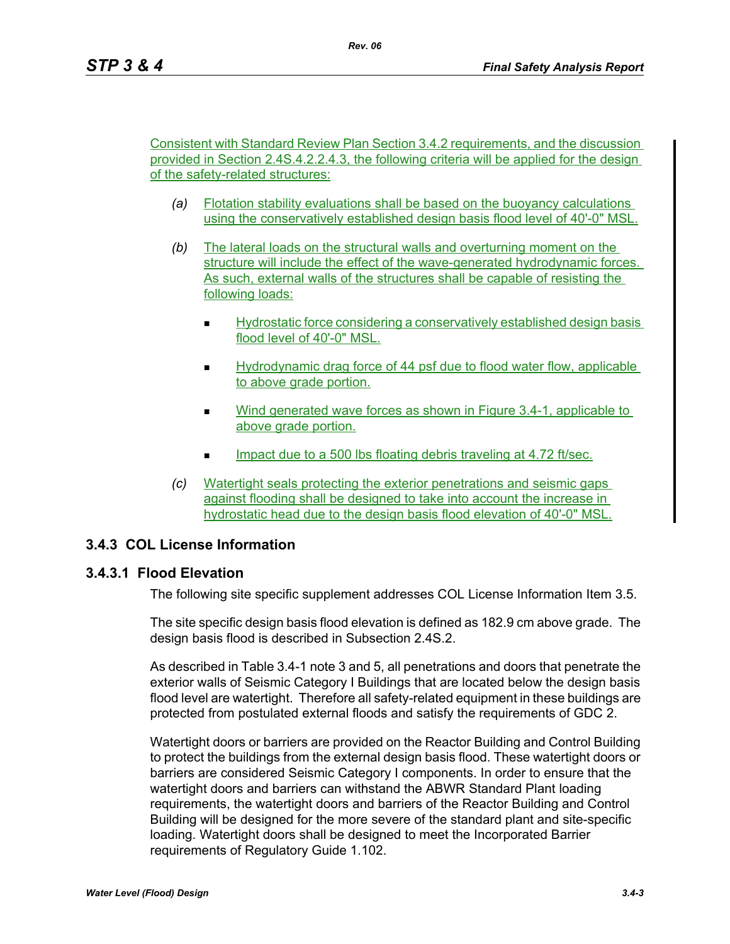Consistent with Standard Review Plan Section 3.4.2 requirements, and the discussion provided in Section 2.4S.4.2.2.4.3, the following criteria will be applied for the design of the safety-related structures:

- *(a)* Flotation stability evaluations shall be based on the buoyancy calculations using the conservatively established design basis flood level of 40'-0" MSL.
- *(b)* The lateral loads on the structural walls and overturning moment on the structure will include the effect of the wave-generated hydrodynamic forces. As such, external walls of the structures shall be capable of resisting the following loads:
	- Hydrostatic force considering a conservatively established design basis flood level of 40'-0" MSL.
	- Hydrodynamic drag force of 44 psf due to flood water flow, applicable to above grade portion.
	- Wind generated wave forces as shown in Figure 3.4-1, applicable to above grade portion.
	- Impact due to a 500 lbs floating debris traveling at 4.72 ft/sec.
- *(c)* Watertight seals protecting the exterior penetrations and seismic gaps against flooding shall be designed to take into account the increase in hydrostatic head due to the design basis flood elevation of 40'-0" MSL.

## **3.4.3 COL License Information**

## **3.4.3.1 Flood Elevation**

The following site specific supplement addresses COL License Information Item 3.5.

The site specific design basis flood elevation is defined as 182.9 cm above grade. The design basis flood is described in Subsection 2.4S.2.

As described in Table 3.4-1 note 3 and 5, all penetrations and doors that penetrate the exterior walls of Seismic Category I Buildings that are located below the design basis flood level are watertight. Therefore all safety-related equipment in these buildings are protected from postulated external floods and satisfy the requirements of GDC 2.

Watertight doors or barriers are provided on the Reactor Building and Control Building to protect the buildings from the external design basis flood. These watertight doors or barriers are considered Seismic Category I components. In order to ensure that the watertight doors and barriers can withstand the ABWR Standard Plant loading requirements, the watertight doors and barriers of the Reactor Building and Control Building will be designed for the more severe of the standard plant and site-specific loading. Watertight doors shall be designed to meet the Incorporated Barrier requirements of Regulatory Guide 1.102.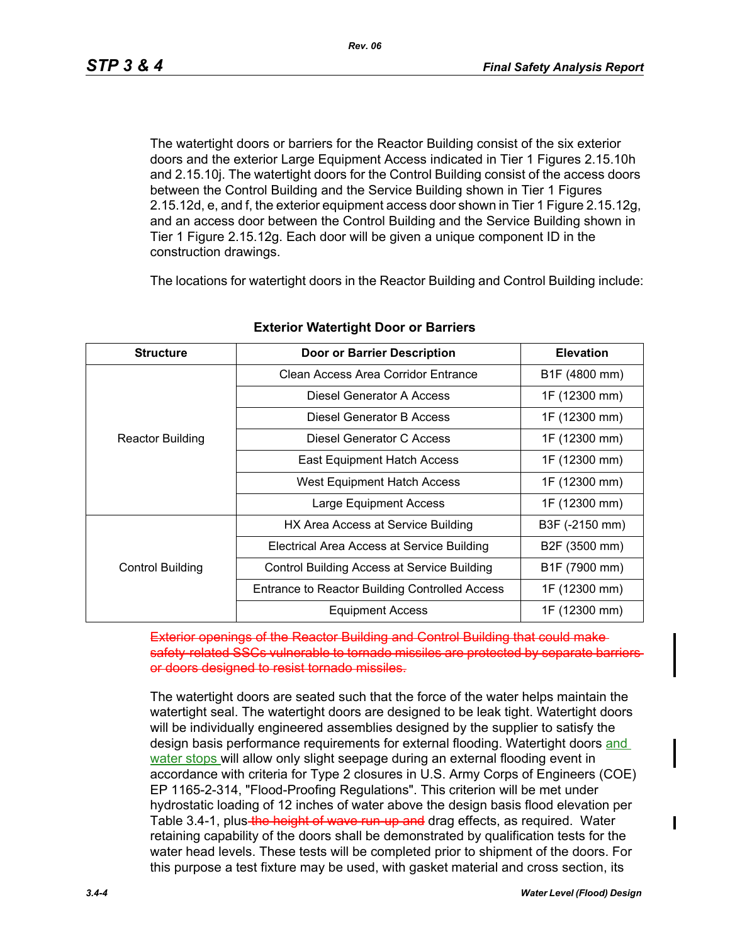The watertight doors or barriers for the Reactor Building consist of the six exterior doors and the exterior Large Equipment Access indicated in Tier 1 Figures 2.15.10h and 2.15.10j. The watertight doors for the Control Building consist of the access doors between the Control Building and the Service Building shown in Tier 1 Figures 2.15.12d, e, and f, the exterior equipment access door shown in Tier 1 Figure 2.15.12g, and an access door between the Control Building and the Service Building shown in Tier 1 Figure 2.15.12g. Each door will be given a unique component ID in the construction drawings.

The locations for watertight doors in the Reactor Building and Control Building include:

| <b>Structure</b>        | <b>Door or Barrier Description</b>                 | <b>Elevation</b> |  |
|-------------------------|----------------------------------------------------|------------------|--|
|                         | Clean Access Area Corridor Entrance                | B1F (4800 mm)    |  |
|                         | Diesel Generator A Access                          | 1F (12300 mm)    |  |
|                         | Diesel Generator B Access                          | 1F (12300 mm)    |  |
| <b>Reactor Building</b> | Diesel Generator C Access                          | 1F (12300 mm)    |  |
|                         | <b>East Equipment Hatch Access</b>                 | 1F (12300 mm)    |  |
|                         | <b>West Equipment Hatch Access</b>                 | 1F (12300 mm)    |  |
|                         | Large Equipment Access                             | 1F (12300 mm)    |  |
|                         | HX Area Access at Service Building                 | B3F (-2150 mm)   |  |
|                         | Electrical Area Access at Service Building         | B2F (3500 mm)    |  |
| <b>Control Building</b> | <b>Control Building Access at Service Building</b> | B1F (7900 mm)    |  |
|                         | Entrance to Reactor Building Controlled Access     | 1F (12300 mm)    |  |
|                         | <b>Equipment Access</b>                            | 1F (12300 mm)    |  |

#### **Exterior Watertight Door or Barriers**

**Reactor Building and Control Building** safety-related SSCs vulnerable to tornado missiles are protected by separate barriersor doors designed to resist tornado missiles.

The watertight doors are seated such that the force of the water helps maintain the watertight seal. The watertight doors are designed to be leak tight. Watertight doors will be individually engineered assemblies designed by the supplier to satisfy the design basis performance requirements for external flooding. Watertight doors and water stops will allow only slight seepage during an external flooding event in accordance with criteria for Type 2 closures in U.S. Army Corps of Engineers (COE) EP 1165-2-314, "Flood-Proofing Regulations". This criterion will be met under hydrostatic loading of 12 inches of water above the design basis flood elevation per Table 3.4-1, plus the height of wave run-up and drag effects, as required. Water retaining capability of the doors shall be demonstrated by qualification tests for the water head levels. These tests will be completed prior to shipment of the doors. For this purpose a test fixture may be used, with gasket material and cross section, its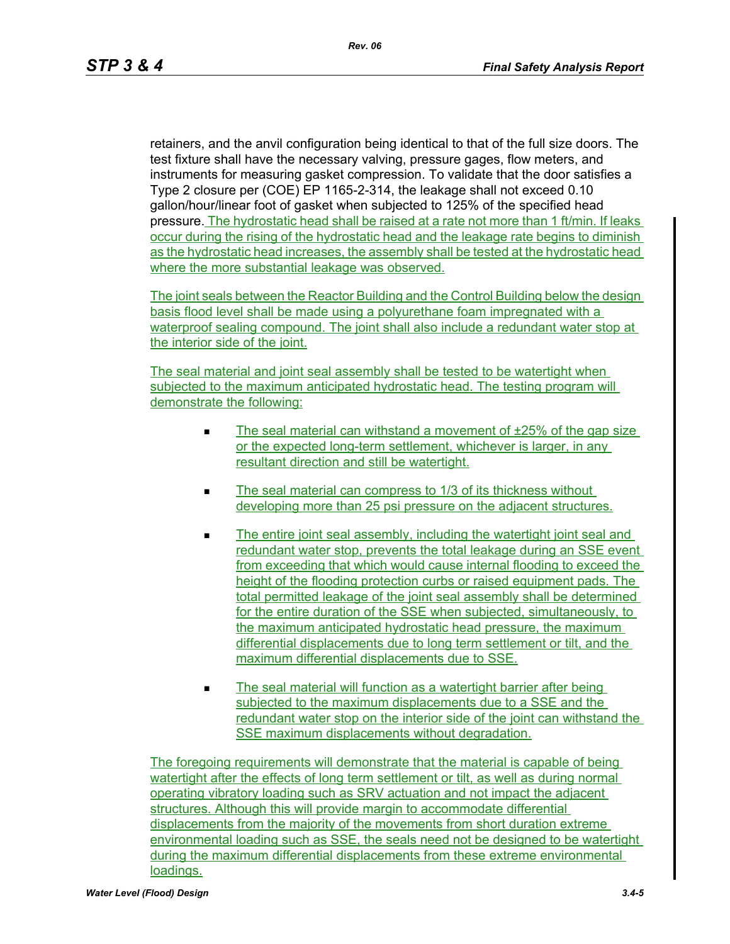retainers, and the anvil configuration being identical to that of the full size doors. The test fixture shall have the necessary valving, pressure gages, flow meters, and instruments for measuring gasket compression. To validate that the door satisfies a Type 2 closure per (COE) EP 1165-2-314, the leakage shall not exceed 0.10 gallon/hour/linear foot of gasket when subjected to 125% of the specified head pressure. The hydrostatic head shall be raised at a rate not more than 1 ft/min. If leaks occur during the rising of the hydrostatic head and the leakage rate begins to diminish as the hydrostatic head increases, the assembly shall be tested at the hydrostatic head where the more substantial leakage was observed.

The joint seals between the Reactor Building and the Control Building below the design basis flood level shall be made using a polyurethane foam impregnated with a waterproof sealing compound. The joint shall also include a redundant water stop at the interior side of the joint.

The seal material and joint seal assembly shall be tested to be watertight when subjected to the maximum anticipated hydrostatic head. The testing program will demonstrate the following:

- The seal material can withstand a movement of  $\pm 25\%$  of the gap size or the expected long-term settlement, whichever is larger, in any resultant direction and still be watertight.
- The seal material can compress to 1/3 of its thickness without developing more than 25 psi pressure on the adjacent structures.
- The entire joint seal assembly, including the watertight joint seal and redundant water stop, prevents the total leakage during an SSE event from exceeding that which would cause internal flooding to exceed the height of the flooding protection curbs or raised equipment pads. The total permitted leakage of the joint seal assembly shall be determined for the entire duration of the SSE when subjected, simultaneously, to the maximum anticipated hydrostatic head pressure, the maximum differential displacements due to long term settlement or tilt, and the maximum differential displacements due to SSE.
- The seal material will function as a watertight barrier after being subjected to the maximum displacements due to a SSE and the redundant water stop on the interior side of the joint can withstand the SSE maximum displacements without degradation.

The foregoing requirements will demonstrate that the material is capable of being watertight after the effects of long term settlement or tilt, as well as during normal operating vibratory loading such as SRV actuation and not impact the adjacent structures. Although this will provide margin to accommodate differential displacements from the majority of the movements from short duration extreme environmental loading such as SSE, the seals need not be designed to be watertight during the maximum differential displacements from these extreme environmental loadings.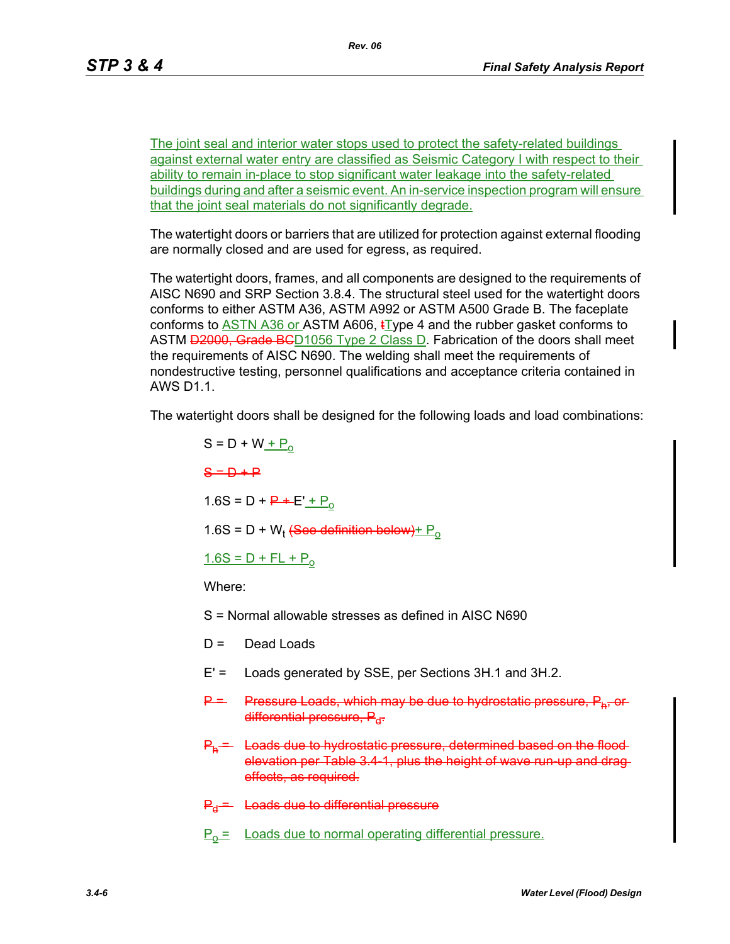The joint seal and interior water stops used to protect the safety-related buildings against external water entry are classified as Seismic Category I with respect to their ability to remain in-place to stop significant water leakage into the safety-related buildings during and after a seismic event. An in-service inspection program will ensure that the joint seal materials do not significantly degrade.

The watertight doors or barriers that are utilized for protection against external flooding are normally closed and are used for egress, as required.

The watertight doors, frames, and all components are designed to the requirements of AISC N690 and SRP Section 3.8.4. The structural steel used for the watertight doors conforms to either ASTM A36, ASTM A992 or ASTM A500 Grade B. The faceplate conforms to  $\overline{ASTN}$  A36 or ASTM A606,  $\overline{L}$ ype 4 and the rubber gasket conforms to ASTM **D2000, Grade BC**D1056 Type 2 Class D. Fabrication of the doors shall meet the requirements of AISC N690. The welding shall meet the requirements of nondestructive testing, personnel qualifications and acceptance criteria contained in AWS D1.1.

The watertight doors shall be designed for the following loads and load combinations:

 $S = D + W + P_0$  $S = D + P$  $1.6S = D + P + E' + P_0$  $1.6S = D + W_t$  (See definition below) +  $P_0$  $1.6S = D + FL + P_0$ 

Where:

S = Normal allowable stresses as defined in AISC N690

- D = Dead Loads
- E' = Loads generated by SSE, per Sections 3H.1 and 3H.2.
- P = Pressure Loads, which may be due to hydrostatic pressure differential pressure,  $P_{d}$ .
- P<sub>h</sub> = Loads due to hydrostatic pressure, determined based on the floodelevation per Table 3.4-1, plus the height of wave run-up and drag effects, as required.
- $P_d$  = Loads due to differential pressure
- $P_0$  = Loads due to normal operating differential pressure.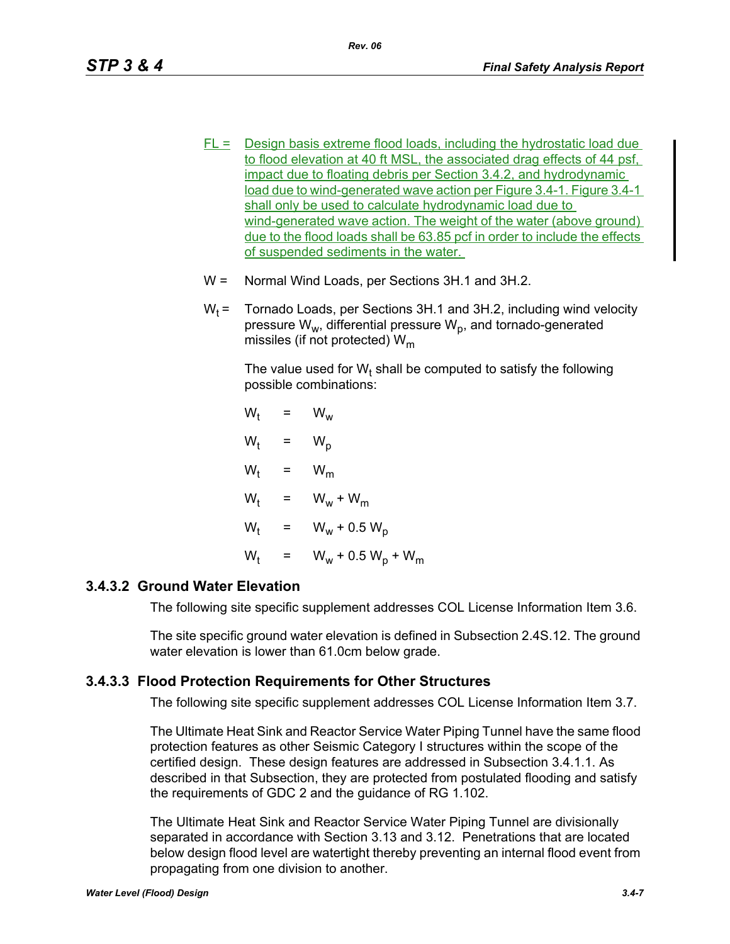- $FL =$  Design basis extreme flood loads, including the hydrostatic load due to flood elevation at 40 ft MSL, the associated drag effects of 44 psf, impact due to floating debris per Section 3.4.2, and hydrodynamic load due to wind-generated wave action per Figure 3.4-1. Figure 3.4-1 shall only be used to calculate hydrodynamic load due to wind-generated wave action. The weight of the water (above ground) due to the flood loads shall be 63.85 pcf in order to include the effects of suspended sediments in the water.
- W = Normal Wind Loads, per Sections 3H.1 and 3H.2.
- $W_t$  = Tornado Loads, per Sections 3H.1 and 3H.2, including wind velocity pressure  $W_w$ , differential pressure  $W_p$ , and tornado-generated missiles (if not protected)  $W_m$

The value used for W<sub>t</sub> shall be computed to satisfy the following possible combinations:

$$
W_{t} = W_{w}
$$
  
\n
$$
W_{t} = W_{p}
$$
  
\n
$$
W_{t} = W_{m}
$$
  
\n
$$
W_{t} = W_{w} + W_{m}
$$
  
\n
$$
W_{t} = W_{w} + 0.5 W_{p}
$$
  
\n
$$
W_{t} = W_{w} + 0.5 W_{p} + W_{m}
$$

## **3.4.3.2 Ground Water Elevation**

The following site specific supplement addresses COL License Information Item 3.6.

The site specific ground water elevation is defined in Subsection 2.4S.12. The ground water elevation is lower than 61.0cm below grade.

# **3.4.3.3 Flood Protection Requirements for Other Structures**

The following site specific supplement addresses COL License Information Item 3.7.

The Ultimate Heat Sink and Reactor Service Water Piping Tunnel have the same flood protection features as other Seismic Category I structures within the scope of the certified design. These design features are addressed in Subsection 3.4.1.1. As described in that Subsection, they are protected from postulated flooding and satisfy the requirements of GDC 2 and the guidance of RG 1.102.

The Ultimate Heat Sink and Reactor Service Water Piping Tunnel are divisionally separated in accordance with Section 3.13 and 3.12. Penetrations that are located below design flood level are watertight thereby preventing an internal flood event from propagating from one division to another.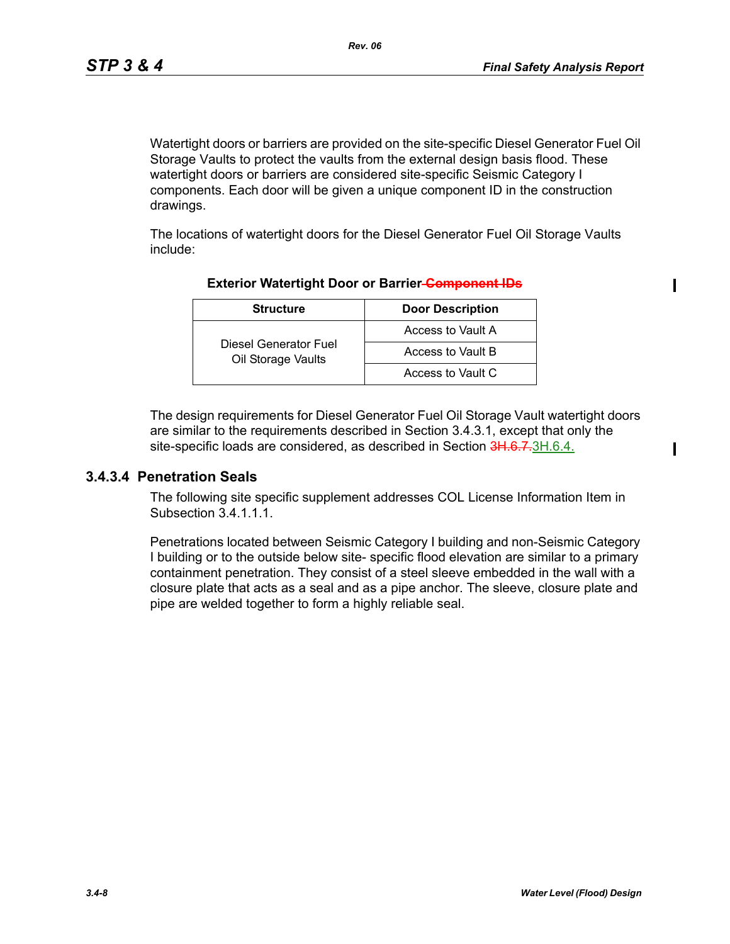Watertight doors or barriers are provided on the site-specific Diesel Generator Fuel Oil Storage Vaults to protect the vaults from the external design basis flood. These watertight doors or barriers are considered site-specific Seismic Category I components. Each door will be given a unique component ID in the construction drawings.

The locations of watertight doors for the Diesel Generator Fuel Oil Storage Vaults include:

| <b>Structure</b>                            | <b>Door Description</b> |  |  |
|---------------------------------------------|-------------------------|--|--|
|                                             | Access to Vault A       |  |  |
| Diesel Generator Fuel<br>Oil Storage Vaults | Access to Vault B       |  |  |
|                                             | Access to Vault C       |  |  |

#### **Exterior Watertight Door or Barrier Component IDs**

The design requirements for Diesel Generator Fuel Oil Storage Vault watertight doors are similar to the requirements described in Section 3.4.3.1, except that only the site-specific loads are considered, as described in Section 3H.6.7.3H.6.4.

### **3.4.3.4 Penetration Seals**

The following site specific supplement addresses COL License Information Item in Subsection 3.4.1.1.1.

Penetrations located between Seismic Category I building and non-Seismic Category I building or to the outside below site- specific flood elevation are similar to a primary containment penetration. They consist of a steel sleeve embedded in the wall with a closure plate that acts as a seal and as a pipe anchor. The sleeve, closure plate and pipe are welded together to form a highly reliable seal.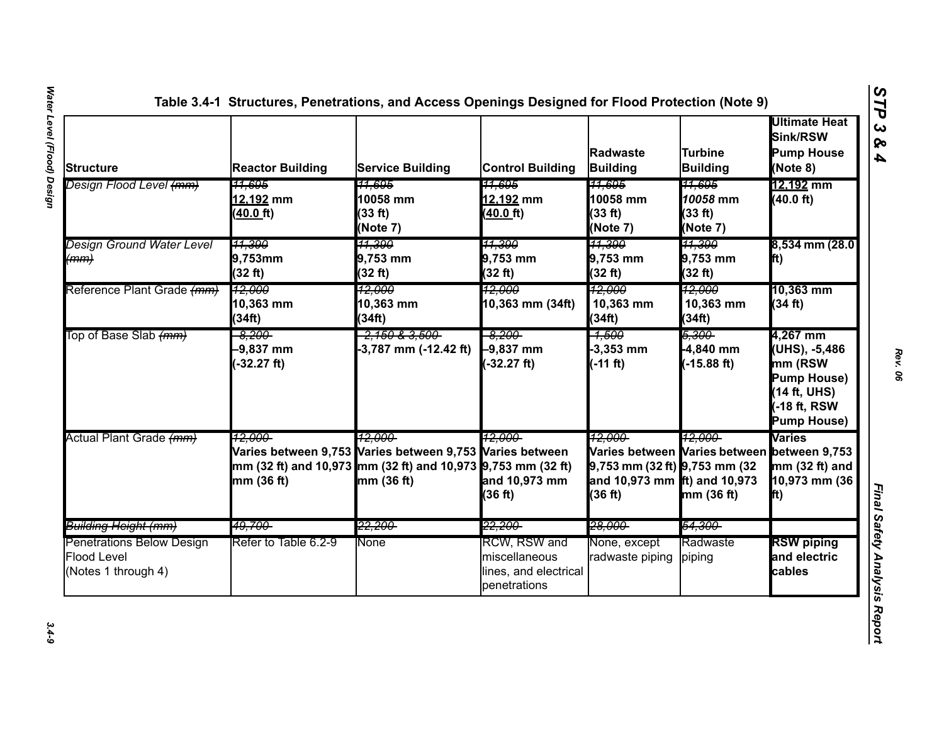| Structure                                                                     | <b>Reactor Building</b>                     | <b>Service Building</b>                                                                                                                          | <b>Control Building</b>                                                       | <b>Radwaste</b><br><b>Building</b>                                                                                                     | Turbine<br><b>Building</b>                           | <b>Ultimate Heat</b><br>Sink/RSW<br><b>Pump House</b><br>(Note 8)                                       |
|-------------------------------------------------------------------------------|---------------------------------------------|--------------------------------------------------------------------------------------------------------------------------------------------------|-------------------------------------------------------------------------------|----------------------------------------------------------------------------------------------------------------------------------------|------------------------------------------------------|---------------------------------------------------------------------------------------------------------|
| Design Flood Level <del>(mm)</del>                                            | <del>11.695</del><br>12,192 mm<br>(40.0 ft) | <del>11.695</del><br>10058 mm<br>(33 ft)<br>(Note 7)                                                                                             | <del>11.695</del><br>12,192 mm<br>(40.0 ft)                                   | <del>11.695</del><br>10058 mm<br>(33 ft)<br>(Note 7)                                                                                   | <del>11.695</del><br>10058 mm<br>(33 ft)<br>(Note 7) | 12,192 mm<br>(40.0 ft)                                                                                  |
| Design Ground Water Level<br>(mm)                                             | <u>11,390</u><br>$9,753$ mm<br>(32 ft)      | <u> 11,390</u><br>$9,753$ mm<br>(32 ft)                                                                                                          | <u> 11,390 </u><br>$9,753$ mm<br>(32 ft)                                      | <u> 11,390 </u><br>$9,753$ mm<br>(32 ft)                                                                                               | 11,390<br>$9,753$ mm<br>(32 ft)                      | 8,534 mm (28.0)<br><b>fft</b> )                                                                         |
| Reference Plant Grade (mm)                                                    | 12,000<br>10,363 mm<br>(34ft)               | <del>12,000</del><br>10,363 mm<br>(34ft)                                                                                                         | <del>12,000</del><br>10,363 mm (34ft)                                         | <del>12.000</del><br>10,363 mm<br>(34ft)                                                                                               | <del>12,000</del><br>10,363 mm<br>(34ft)             | 10,363 mm<br>(34 ft)                                                                                    |
| Top of Base Slab (mm)                                                         | -8,200-<br>$-9,837$ mm<br>$-32.27$ ft)      | <del>2,150 &amp; 3,500</del><br>-3,787 mm (-12.42 ft)                                                                                            | $-8,200$<br>$-9,837$ mm<br>$-32.27$ ft)                                       | -4,500<br>$-3,353$ mm<br>$(-11 ft)$                                                                                                    | 5,300-<br>-4,840 mm<br>$-15.88$ ft)                  | 4,267 mm<br>(UHS), -5,486<br>mm (RSW<br><b>Pump House)</b><br>(14 ft, UHS)<br>18 ft, RSW<br>Pump House) |
| Actual Plant Grade (mm)                                                       | 12.000-<br>mm(36 ft)                        | 12.000-<br>Varies between 9,753 Varies between 9,753 Varies between<br>mm (32 ft) and 10,973 mm (32 ft) and 10,973 9,753 mm (32 ft)<br>mm(36 ft) | 12.000-<br>and 10,973 mm<br>(36 ft)                                           | 12.000-<br>Varies between Varies between between 9,753<br>$9,753$ mm (32 ft) $9,753$ mm (32<br>and 10,973 mm ft) and 10,973<br>(36 ft) | 12.000-<br>mm (36 ft)                                | <b>Varies</b><br>$mm(32 ft)$ and<br>10,973 mm (36<br>lft)                                               |
| <del>Building Height (mm)</del>                                               | <del>49,700-</del>                          | <del>22,200-</del>                                                                                                                               | <del>22,200-</del>                                                            | <del>28,000-</del>                                                                                                                     | <del>54,300-</del>                                   |                                                                                                         |
| <b>Penetrations Below Design</b><br><b>Flood Level</b><br>(Notes 1 through 4) | Refer to Table 6.2-9                        | <b>None</b>                                                                                                                                      | <b>RCW, RSW and</b><br>miscellaneous<br>lines, and electrical<br>penetrations | None, except<br>radwaste piping                                                                                                        | Radwaste<br>piping                                   | <b>RSW</b> piping<br>and electric<br>cables                                                             |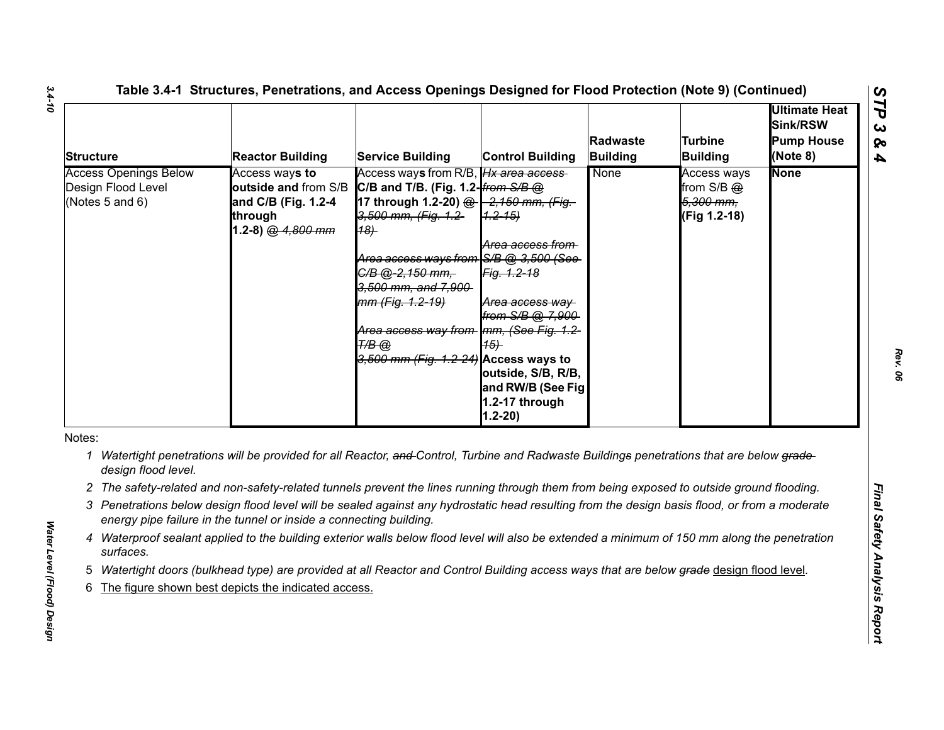| <b>Structure</b> |                                                                            | <b>Reactor Building</b>                                                                       | <b>Service Building</b>                                                                                                                                                                                                                                                                                                                                    | <b>Control Building</b>                                                                                                                                                    | Radwaste<br><b>Building</b> | Turbine<br><b>Building</b>                                    | Ultimate Heat<br>Sink/RSW<br><b>Pump House</b><br>(Note 8) |
|------------------|----------------------------------------------------------------------------|-----------------------------------------------------------------------------------------------|------------------------------------------------------------------------------------------------------------------------------------------------------------------------------------------------------------------------------------------------------------------------------------------------------------------------------------------------------------|----------------------------------------------------------------------------------------------------------------------------------------------------------------------------|-----------------------------|---------------------------------------------------------------|------------------------------------------------------------|
|                  | <b>Access Openings Below</b><br>Design Flood Level<br>(Notes $5$ and $6$ ) | Access ways to<br>outside and from S/B<br>and C/B (Fig. 1.2-4<br>through<br>1.2-8) @ 4,800 mm | Access ways from R/B, Hx area access<br>C/B and T/B. (Fig. 1.2-from $S/B$ @<br>17 through 1.2-20) @ -2,150 mm, (Fig.<br>3,500 mm, (Fig. 1.2-<br>(18)<br>Area access ways from S/B @ 3,500 (See<br>C/B @-2,150 mm,<br>3,500 mm, and 7,900<br>mm (Fig. 1.2-19)<br>Area access way from Imm, (See Fig. 1.2-<br>Т/В @<br>3,500 mm (Fig. 1.2-24) Access ways to | $(1, 2 - 15)$<br>Area access from<br>Fig. 1.2-18<br>Area access way<br>from S/B @ 7,900<br>(15)<br>outside, S/B, R/B,<br>and RW/B (See Fig<br>1.2-17 through<br>$1.2 - 20$ | None                        | <b>Access ways</b><br>from S/B @<br>5,300 mm,<br>(Fig 1.2-18) | <b>None</b>                                                |
| Notes:           |                                                                            |                                                                                               |                                                                                                                                                                                                                                                                                                                                                            |                                                                                                                                                                            |                             |                                                               |                                                            |
|                  | design flood level.                                                        |                                                                                               | 1 Watertight penetrations will be provided for all Reactor, and Control, Turbine and Radwaste Buildings penetrations that are below grade-                                                                                                                                                                                                                 |                                                                                                                                                                            |                             |                                                               |                                                            |
|                  |                                                                            |                                                                                               | 2 The safety-related and non-safety-related tunnels prevent the lines running through them from being exposed to outside ground flooding.                                                                                                                                                                                                                  |                                                                                                                                                                            |                             |                                                               |                                                            |
|                  |                                                                            | energy pipe failure in the tunnel or inside a connecting building.                            | 3 Penetrations below design flood level will be sealed against any hydrostatic head resulting from the design basis flood, or from a moderate                                                                                                                                                                                                              |                                                                                                                                                                            |                             |                                                               |                                                            |
|                  | surfaces.                                                                  |                                                                                               | 4 Waterproof sealant applied to the building exterior walls below flood level will also be extended a minimum of 150 mm along the penetration                                                                                                                                                                                                              |                                                                                                                                                                            |                             |                                                               |                                                            |
|                  |                                                                            |                                                                                               | Watertight doors (bulkhead type) are provided at all Reactor and Control Building access ways that are below grade design flood level.                                                                                                                                                                                                                     |                                                                                                                                                                            |                             |                                                               |                                                            |
|                  |                                                                            | The figure shown best depicts the indicated access.                                           |                                                                                                                                                                                                                                                                                                                                                            |                                                                                                                                                                            |                             |                                                               |                                                            |

- 
- 
- 
- 
- 
-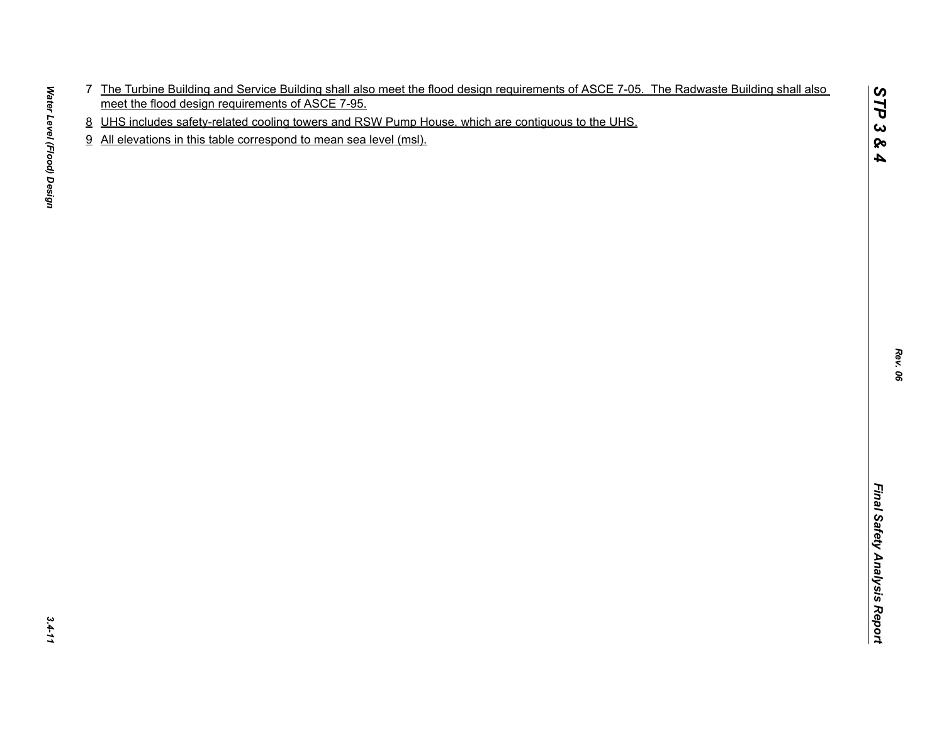- The Tustinian Burling and Service Bullding and allel meet the flood design requirements of ASCE 7-05. The Radivaste Building shall also.<br>In the Tustinian Burling and Service Courses and RSV Purin House which are continuous
- 
- 

*STP 3 & 4*